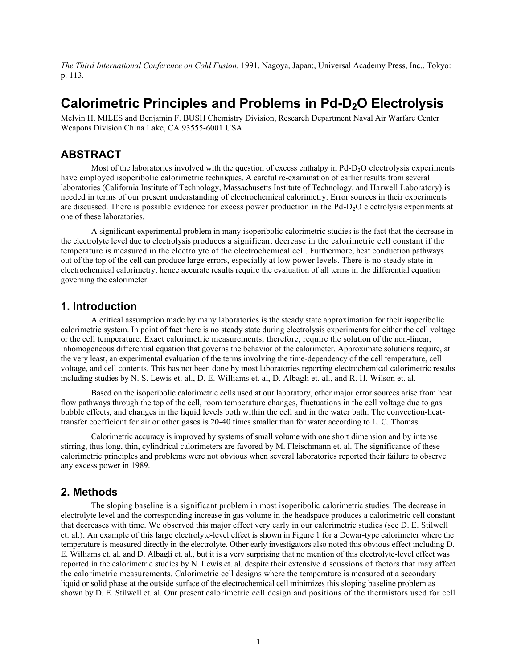*The Third International Conference on Cold Fusion*. 1991. Nagoya, Japan:, Universal Academy Press, Inc., Tokyo: p. 113.

# **Calorimetric Principles and Problems in Pd-D2O Electrolysis**

Melvin H. MILES and Benjamin F. BUSH Chemistry Division, Research Department Naval Air Warfare Center Weapons Division China Lake, CA 93555-6001 USA

## **ABSTRACT**

Most of the laboratories involved with the question of excess enthalpy in  $Pd-D<sub>2</sub>O$  electrolysis experiments have employed isoperibolic calorimetric techniques. A careful re-examination of earlier results from several laboratories (California Institute of Technology, Massachusetts Institute of Technology, and Harwell Laboratory) is needed in terms of our present understanding of electrochemical calorimetry. Error sources in their experiments are discussed. There is possible evidence for excess power production in the Pd-D<sub>2</sub>O electrolysis experiments at one of these laboratories.

A significant experimental problem in many isoperibolic calorimetric studies is the fact that the decrease in the electrolyte level due to electrolysis produces a significant decrease in the calorimetric cell constant if the temperature is measured in the electrolyte of the electrochemical cell. Furthermore, heat conduction pathways out of the top of the cell can produce large errors, especially at low power levels. There is no steady state in electrochemical calorimetry, hence accurate results require the evaluation of all terms in the differential equation governing the calorimeter.

### **1. Introduction**

A critical assumption made by many laboratories is the steady state approximation for their isoperibolic calorimetric system. In point of fact there is no steady state during electrolysis experiments for either the cell voltage or the cell temperature. Exact calorimetric measurements, therefore, require the solution of the non-linear, inhomogeneous differential equation that governs the behavior of the calorimeter. Approximate solutions require, at the very least, an experimental evaluation of the terms involving the time-dependency of the cell temperature, cell voltage, and cell contents. This has not been done by most laboratories reporting electrochemical calorimetric results including studies by Ν. S. Lewis et. al., D. E. Williams et. al, D. Albagli et. al., and R. H. Wilson et. al.

Based on the isoperibolic calorimetric cells used at our laboratory, other major error sources arise from heat flow pathways through the top of the cell, room temperature changes, fluctuations in the cell voltage due to gas bubble effects, and changes in the liquid levels both within the cell and in the water bath. The convection-heattransfer coefficient for air or other gases is 20-40 times smaller than for water according to L. C. Thomas.

Calorimetric accuracy is improved by systems of small volume with one short dimension and by intense stirring, thus long, thin, cylindrical calorimeters are favored by M. Fleischmann et. al. The significance of these calorimetric principles and problems were not obvious when several laboratories reported their failure to observe any excess power in 1989.

### **2. Methods**

The sloping baseline is a significant problem in most isoperibolic calorimetric studies. The decrease in electrolyte level and the corresponding increase in gas volume in the headspace produces a calorimetric cell constant that decreases with time. We observed this major effect very early in our calorimetric studies (see D. E. Stilwell et. al.). An example of this large electrolyte-level effect is shown in Figure 1 for a Dewar-type calorimeter where the temperature is measured directly in the electrolyte. Other early investigators also noted this obvious effect including D. E. Williams et. al. and D. Albagli et. al., but it is a very surprising that no mention of this electrolyte-level effect was reported in the calorimetric studies by N. Lewis et. al. despite their extensive discussions of factors that may affect the calorimetric measurements. Calorimetric cell designs where the temperature is measured at a secondary liquid or solid phase at the outside surface of the electrochemical cell minimizes this sloping baseline problem as shown by D. E. Stilwell et. al. Our present calorimetric cell design and positions of the thermistors used for cell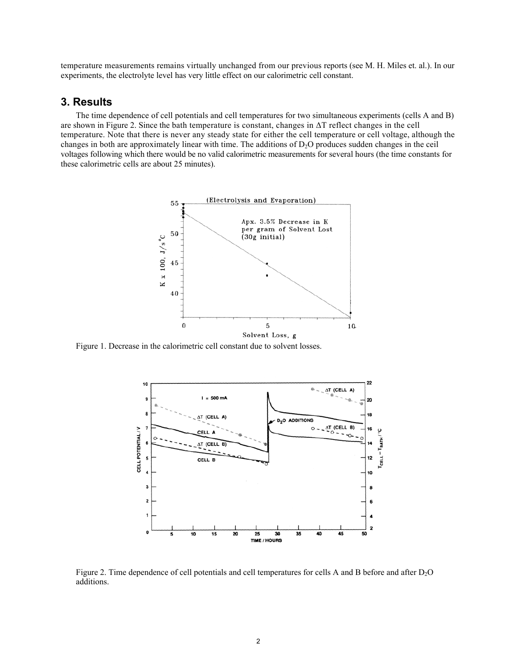temperature measurements remains virtually unchanged from our previous reports (see M. H. Miles et. al.). In our experiments, the electrolyte level has very little effect on our calorimetric cell constant.

### **3. Results**

The time dependence of cell potentials and cell temperatures for two simultaneous experiments (cells A and Β) are shown in Figure 2. Since the bath temperature is constant, changes in ∆Τ reflect changes in the cell temperature. Note that there is never any steady state for either the cell temperature or cell voltage, although the changes in both are approximately linear with time. The additions of  $D_2O$  produces sudden changes in the ceil voltages following which there would be no valid calorimetric measurements for several hours (the time constants for these calorimetric cells are about 25 minutes).



Figure 1. Decrease in the calorimetric cell constant due to solvent losses.



Figure 2. Time dependence of cell potentials and cell temperatures for cells A and B before and after D<sub>2</sub>O additions.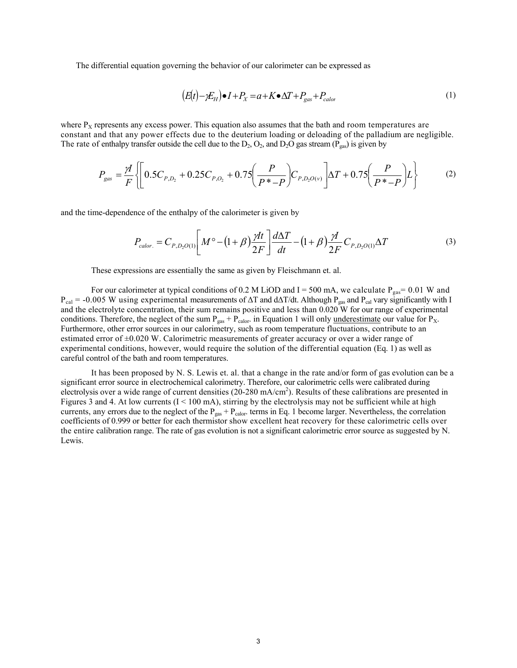The differential equation governing the behavior of our calorimeter can be expressed as

$$
(E(t) - \gamma E_H) \bullet I + P_X = a + K \bullet \Delta T + P_{gas} + P_{calo}
$$
\n<sup>(1)</sup>

where  $P_X$  represents any excess power. This equation also assumes that the bath and room temperatures are constant and that any power effects due to the deuterium loading or deloading of the palladium are negligible. The rate of enthalpy transfer outside the cell due to the  $D_2$ ,  $O_2$ , and  $D_2O$  gas stream ( $P_{gas}$ ) is given by

$$
P_{gas} = \frac{\gamma I}{F} \left\{ \left[ 0.5C_{P,D_2} + 0.25C_{P,O_2} + 0.75 \left( \frac{P}{P^* - P} \right) C_{P,D_2O(\nu)} \right] \Delta T + 0.75 \left( \frac{P}{P^* - P} \right) L \right\}
$$
(2)

and the time-dependence of the enthalpy of the calorimeter is given by

$$
P_{\text{calor.}} = C_{P,D_2O(1)} \left[ M^{\circ} - (1+\beta) \frac{\gamma H}{2F} \right] \frac{d\Delta T}{dt} - (1+\beta) \frac{\gamma H}{2F} C_{P,D_2O(1)} \Delta T \tag{3}
$$

These expressions are essentially the same as given by Fleischmann et. al.

For our calorimeter at typical conditions of 0.2 M LiOD and I = 500 mA, we calculate  $P_{gas}$  = 0.01 W and  $P_{cal} = -0.005$  W using experimental measurements of  $\Delta T$  and d $\Delta T/dt$ . Although  $P_{gas}$  and  $P_{cal}$  vary significantly with I and the electrolyte concentration, their sum remains positive and less than 0.020 W for our range of experimental conditions. Therefore, the neglect of the sum  $P_{gas} + P_{calor}$ . in Equation 1 will only underestimate our value for  $P_X$ . Furthermore, other error sources in our calorimetry, such as room temperature fluctuations, contribute to an estimated error of  $\pm 0.020$  W. Calorimetric measurements of greater accuracy or over a wider range of experimental conditions, however, would require the solution of the differential equation (Eq. 1) as well as careful control of the bath and room temperatures.

It has been proposed by N. S. Lewis et. al. that a change in the rate and/or form of gas evolution can be a significant error source in electrochemical calorimetry. Therefore, our calorimetric cells were calibrated during electrolysis over a wide range of current densities (20-280 mA/cm<sup>2</sup>). Results of these calibrations are presented in Figures 3 and 4. At low currents  $(I \le 100 \text{ mA})$ , stirring by the electrolysis may not be sufficient while at high currents, any errors due to the neglect of the  $P_{gas} + P_{calor}$  terms in Eq. 1 become larger. Nevertheless, the correlation coefficients of 0.999 or better for each thermistor show excellent heat recovery for these calorimetric cells over the entire calibration range. The rate of gas evolution is not a significant calorimetric error source as suggested by N. Lewis.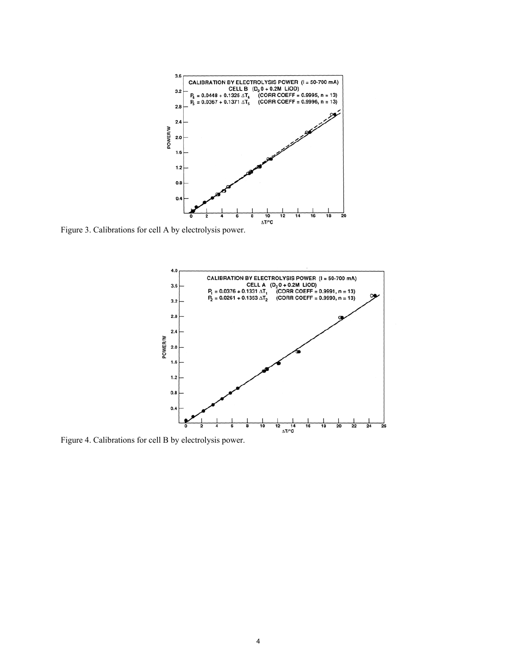

Figure 3. Calibrations for cell A by electrolysis power.



Figure 4. Calibrations for cell Β by electrolysis power.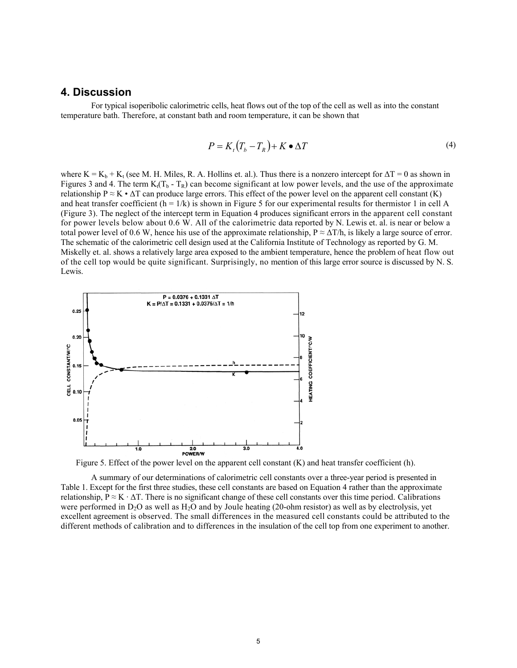#### **4. Discussion**

For typical isoperibolic calorimetric cells, heat flows out of the top of the cell as well as into the constant temperature bath. Therefore, at constant bath and room temperature, it can be shown that

$$
P = K_t (T_b - T_R) + K \bullet \Delta T \tag{4}
$$

where  $K = K_b + K_t$  (see M. H. Miles, R. A. Hollins et. al.). Thus there is a nonzero intercept for  $\Delta T = 0$  as shown in Figures 3 and 4. The term  $K_t(T_b - T_R)$  can become significant at low power levels, and the use of the approximate relationship  $P \approx K \cdot \Delta T$  can produce large errors. This effect of the power level on the apparent cell constant (K) and heat transfer coefficient  $(h = 1/k)$  is shown in Figure 5 for our experimental results for thermistor 1 in cell A (Figure 3). The neglect of the intercept term in Equation 4 produces significant errors in the apparent cell constant for power levels below about 0.6 W. All of the calorimetric data reported by N. Lewis et. al. is near or below a total power level of 0.6 W, hence his use of the approximate relationship,  $P \approx \Delta T/h$ , is likely a large source of error. The schematic of the calorimetric cell design used at the California Institute of Technology as reported by G. M. Miskelly et. al. shows a relatively large area exposed to the ambient temperature, hence the problem of heat flow out of the cell top would be quite significant. Surprisingly, no mention of this large error source is discussed by N. S. Lewis.



Figure 5. Effect of the power level on the apparent cell constant (K) and heat transfer coefficient (h).

A summary of our determinations of calorimetric cell constants over a three-year period is presented in Table 1. Except for the first three studies, these cell constants are based on Equation 4 rather than the approximate relationship,  $P \approx K \cdot \Delta T$ . There is no significant change of these cell constants over this time period. Calibrations were performed in D<sub>2</sub>O as well as H<sub>2</sub>O and by Joule heating (20-ohm resistor) as well as by electrolysis, yet excellent agreement is observed. The small differences in the measured cell constants could be attributed to the different methods of calibration and to differences in the insulation of the cell top from one experiment to another.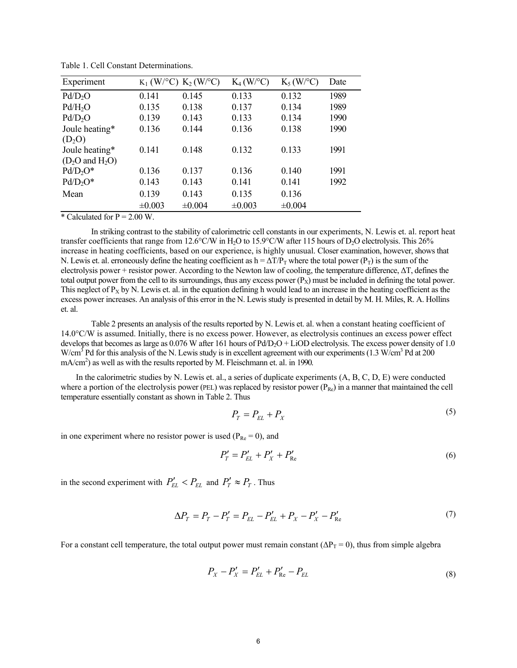| Experiment          | $K_1$ (W/°C) $K_2$ (W/°C) |             | $K_4$ (W/°C) | $K_5(W$ <sup>o</sup> C) | Date |
|---------------------|---------------------------|-------------|--------------|-------------------------|------|
| Pd/D <sub>2</sub> O | 0.141                     | 0.145       | 0.133        | 0.132                   | 1989 |
| Pd/H <sub>2</sub> O | 0.135                     | 0.138       | 0.137        | 0.134                   | 1989 |
| Pd/D <sub>2</sub> O | 0.139                     | 0.143       | 0.133        | 0.134                   | 1990 |
| Joule heating*      | 0.136                     | 0.144       | 0.136        | 0.138                   | 1990 |
| $(D_2O)$            |                           |             |              |                         |      |
| Joule heating*      | 0.141                     | 0.148       | 0.132        | 0.133                   | 1991 |
| $(D2O$ and $H2O$ )  |                           |             |              |                         |      |
| $Pd/D2O*$           | 0.136                     | 0.137       | 0.136        | 0.140                   | 1991 |
| $Pd/D2O*$           | 0.143                     | 0.143       | 0.141        | 0.141                   | 1992 |
| Mean                | 0.139                     | 0.143       | 0.135        | 0.136                   |      |
|                     | $\pm 0.003$               | $\pm 0.004$ | $\pm 0.003$  | ±0.004                  |      |

Table 1. Cell Constant Determinations.

\* Calculated for  $P = 2.00$  W.

In striking contrast to the stability of calorimetric cell constants in our experiments, N. Lewis et. al. report heat transfer coefficients that range from 12.6°C/W in H<sub>2</sub>O to 15.9°C/W after 115 hours of D<sub>2</sub>O electrolysis. This 26% increase in heating coefficients, based on our experience, is highly unusual. Closer examination, however, shows that N. Lewis et. al. erroneously define the heating coefficient as  $h = \Delta T/P_T$  where the total power (P<sub>T</sub>) is the sum of the electrolysis power + resistor power. According to the Newton law of cooling, the temperature difference, ∆Τ, defines the total output power from the cell to its surroundings, thus any excess power  $(P_x)$  must be included in defining the total power. This neglect of  $P_X$  by N. Lewis et. al. in the equation defining h would lead to an increase in the heating coefficient as the excess power increases. An analysis of this error in the N. Lewis study is presented in detail by Μ. Η. Miles, R. A. Hollins et. al.

Table 2 presents an analysis of the results reported by N. Lewis et. al. when a constant heating coefficient of 14.0°C/W is assumed. Initially, there is no excess power. However, as electrolysis continues an excess power effect develops that becomes as large as  $0.076$  W after 161 hours of Pd/D<sub>2</sub>O + LiOD electrolysis. The excess power density of 1.0 W/cm<sup>3</sup> Pd for this analysis of the N. Lewis study is in excellent agreement with our experiments (1.3 W/cm<sup>3</sup> Pd at 200 mA/cm<sup>2</sup>) as well as with the results reported by M. Fleischmann et. al. in 1990.

In the calorimetric studies by N. Lewis et. al., a series of duplicate experiments (A, B, C, D, E) were conducted where a portion of the electrolysis power (PEL) was replaced by resistor power  $(P_{Re})$  in a manner that maintained the cell temperature essentially constant as shown in Table 2. Thus

$$
P_T = P_{EL} + P_X \tag{5}
$$

in one experiment where no resistor power is used ( $P_{Re} = 0$ ), and

$$
P'_{T} = P'_{EL} + P'_{X} + P'_{Re}
$$
 (6)

in the second experiment with  $P'_{EL} < P_{EL}$  and  $P'_T \approx P_T$ . Thus

$$
\Delta P_T = P_T - P_T' = P_{EL} - P_{EL}' + P_X - P_X' - P_{Re}' \tag{7}
$$

For a constant cell temperature, the total output power must remain constant ( $\Delta P_T = 0$ ), thus from simple algebra

$$
P_X - P'_X = P'_{EL} + P'_{Re} - P_{EL}
$$
\n(8)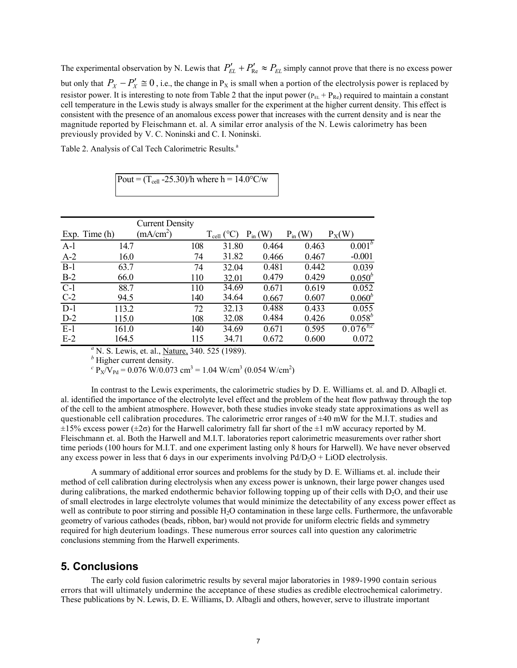The experimental observation by N. Lewis that  $P'_{EL} + P'_{Re} \approx P_{EL}$  simply cannot prove that there is no excess power but only that  $P_X - P'_X \cong 0$ , i.e., the change in  $P_X$  is small when a portion of the electrolysis power is replaced by resistor power. It is interesting to note from Table 2 that the input power  $(P_{EL} + P_{Re})$  required to maintain a constant cell temperature in the Lewis study is always smaller for the experiment at the higher current density. This effect is consistent with the presence of an anomalous excess power that increases with the current density and is near the magnitude reported by Fleischmann et. al. A similar error analysis of the N. Lewis calorimetry has been previously provided by V. C. Noninski and C. I. Noninski.

Table 2. Analysis of Cal Tech Calorimetric Results.<sup>a</sup>

Pout =  $(T_{cell} - 25.30)$ /h where h = 14.0°C/w

|                  |               | <b>Current Density</b> |                |              |             |               |
|------------------|---------------|------------------------|----------------|--------------|-------------|---------------|
|                  | Exp. Time (h) | (mA/cm <sup>2</sup> )  | $T_{cell}$ (°C | $P_{in}$ (W) | $P_{in}(W)$ | $P_X(W)$      |
| $A-1$            | 14.7          | 108                    | 31.80          | 0.464        | 0.463       | $0.001^b$     |
| $A-2$            | 16.0          | 74                     | 31.82          | 0.466        | 0.467       | $-0.001$      |
| $B-1$            | 63.7          | 74                     | 32.04          | 0.481        | 0.442       | 0.039         |
| $B-2$            | 66.0          | 110                    | 32.01          | 0.479        | 0.429       | $0.050^{b}$   |
| $C-1$            | 88.7          | 110                    | 34.69          | 0.671        | 0.619       | 0.052         |
| $C-2$            | 94.5          | 140                    | 34.64          | 0.667        | 0.607       | $0.060^{b}$   |
| $\overline{D-1}$ | 113.2         | 72                     | 32.13          | 0.488        | 0.433       | 0.055         |
| $D-2$            | 115.0         | 108                    | 32.08          | 0.484        | 0.426       | $0.058^{b}$   |
| $E-I$            | 161.0         | 140                    | 34.69          | 0.671        | 0.595       | $0.076^{b,c}$ |
| $E-2$            | 164.5         | 115                    | 34.71          | 0.672        | 0.600       | 0.072         |

<sup>*a*</sup> N. S. Lewis, et. al., <u>Nature</u>, 340. 525 (1989).

*b* Higher current density.

 $c \text{ P}_X/\text{V}_{\text{Pd}} = 0.076 \text{ W}/0.073 \text{ cm}^3 = 1.04 \text{ W/cm}^3 (0.054 \text{ W/cm}^2)$ 

In contrast to the Lewis experiments, the calorimetric studies by D. E. Williams et. al. and D. Albagli et. al. identified the importance of the electrolyte level effect and the problem of the heat flow pathway through the top of the cell to the ambient atmosphere. However, both these studies invoke steady state approximations as well as questionable cell calibration procedures. The calorimetric error ranges of  $\pm 40$  mW for the M.I.T. studies and  $\pm 15\%$  excess power ( $\pm 2\sigma$ ) for the Harwell calorimetry fall far short of the  $\pm 1$  mW accuracy reported by M. Fleischmann et. al. Both the Harwell and M.I.T. laboratories report calorimetric measurements over rather short time periods (100 hours for M.I.T. and one experiment lasting only 8 hours for Harwell). We have never observed any excess power in less that 6 days in our experiments involving  $Pd/D<sub>2</sub>O + LiOD$  electrolysis.

A summary of additional error sources and problems for the study by D. E. Williams et. al. include their method of cell calibration during electrolysis when any excess power is unknown, their large power changes used during calibrations, the marked endothermic behavior following topping up of their cells with  $D_2O$ , and their use of small electrodes in large electrolyte volumes that would minimize the detectability of any excess power effect as well as contribute to poor stirring and possible H<sub>2</sub>O contamination in these large cells. Furthermore, the unfavorable geometry of various cathodes (beads, ribbon, bar) would not provide for uniform electric fields and symmetry required for high deuterium loadings. These numerous error sources call into question any calorimetric conclusions stemming from the Harwell experiments.

#### **5. Conclusions**

The early cold fusion calorimetric results by several major laboratories in 1989-1990 contain serious errors that will ultimately undermine the acceptance of these studies as credible electrochemical calorimetry. These publications by N. Lewis, D. E. Williams, D. Albagli and others, however, serve to illustrate important